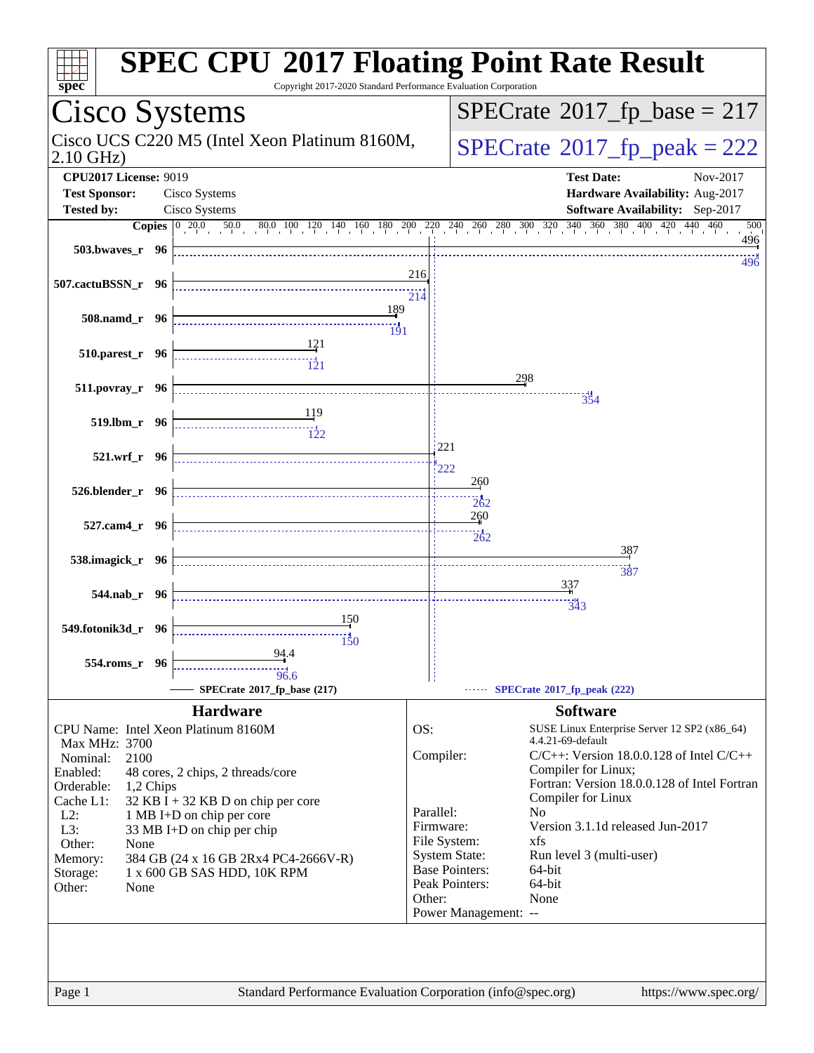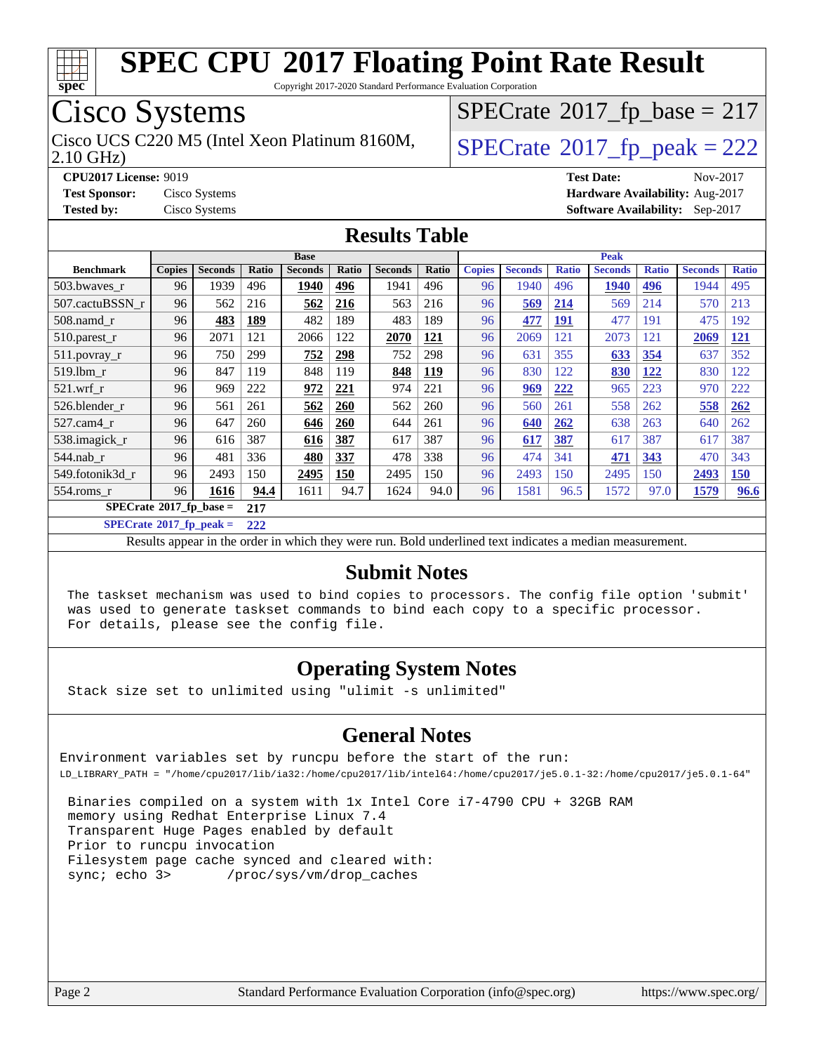

Copyright 2017-2020 Standard Performance Evaluation Corporation

### Cisco Systems

2.10 GHz) Cisco UCS C220 M5 (Intel Xeon Platinum 8160M,  $\big|$  [SPECrate](http://www.spec.org/auto/cpu2017/Docs/result-fields.html#SPECrate2017fppeak)®[2017\\_fp\\_peak = 2](http://www.spec.org/auto/cpu2017/Docs/result-fields.html#SPECrate2017fppeak)22

 $SPECrate$ <sup>®</sup>[2017\\_fp\\_base =](http://www.spec.org/auto/cpu2017/Docs/result-fields.html#SPECrate2017fpbase) 217

**[CPU2017 License:](http://www.spec.org/auto/cpu2017/Docs/result-fields.html#CPU2017License)** 9019 **[Test Date:](http://www.spec.org/auto/cpu2017/Docs/result-fields.html#TestDate)** Nov-2017 **[Test Sponsor:](http://www.spec.org/auto/cpu2017/Docs/result-fields.html#TestSponsor)** Cisco Systems **[Hardware Availability:](http://www.spec.org/auto/cpu2017/Docs/result-fields.html#HardwareAvailability)** Aug-2017 **[Tested by:](http://www.spec.org/auto/cpu2017/Docs/result-fields.html#Testedby)** Cisco Systems **[Software Availability:](http://www.spec.org/auto/cpu2017/Docs/result-fields.html#SoftwareAvailability)** Sep-2017

#### **[Results Table](http://www.spec.org/auto/cpu2017/Docs/result-fields.html#ResultsTable)**

|                                  | <b>Base</b>   |                |       |                |       | <b>Peak</b>    |            |               |                |              |                |              |                |              |
|----------------------------------|---------------|----------------|-------|----------------|-------|----------------|------------|---------------|----------------|--------------|----------------|--------------|----------------|--------------|
| <b>Benchmark</b>                 | <b>Copies</b> | <b>Seconds</b> | Ratio | <b>Seconds</b> | Ratio | <b>Seconds</b> | Ratio      | <b>Copies</b> | <b>Seconds</b> | <b>Ratio</b> | <b>Seconds</b> | <b>Ratio</b> | <b>Seconds</b> | <b>Ratio</b> |
| 503.bwayes_r                     | 96            | 1939           | 496   | 1940           | 496   | 1941           | 496        | 96            | 1940           | 496          | 1940           | 496          | 1944           | 495          |
| 507.cactuBSSN r                  | 96            | 562            | 216   | 562            | 216   | 563            | 216        | 96            | 569            | 214          | 569            | 214          | 570            | 213          |
| 508.namd_r                       | 96            | 483            | 189   | 482            | 189   | 483            | 189        | 96            | 477            | <u>191</u>   | 477            | 191          | 475            | 192          |
| 510.parest_r                     | 96            | 2071           | 121   | 2066           | 122   | 2070           | <u>121</u> | 96            | 2069           | 121          | 2073           | 121          | 2069           | <u>121</u>   |
| 511.povray_r                     | 96            | 750            | 299   | 752            | 298   | 752            | 298        | 96            | 631            | 355          | 633            | 354          | 637            | 352          |
| $519$ .lbm $r$                   | 96            | 847            | 119   | 848            | 119   | 848            | <u>119</u> | 96            | 830            | 122          | 830            | 122          | 830            | 122          |
| $521$ .wrf r                     | 96            | 969            | 222   | 972            | 221   | 974            | 221        | 96            | 969            | 222          | 965            | 223          | 970            | 222          |
| 526.blender_r                    | 96            | 561            | 261   | 562            | 260   | 562            | 260        | 96            | 560            | 261          | 558            | 262          | 558            | 262          |
| 527.cam4 r                       | 96            | 647            | 260   | 646            | 260   | 644            | 261        | 96            | 640            | 262          | 638            | 263          | 640            | 262          |
| 538.imagick_r                    | 96            | 616            | 387   | 616            | 387   | 617            | 387        | 96            | 617            | 387          | 617            | 387          | 617            | 387          |
| 544.nab r                        | 96            | 481            | 336   | 480            | 337   | 478            | 338        | 96            | 474            | 341          | 471            | 343          | 470            | 343          |
| 549.fotonik3d r                  | 96            | 2493           | 150   | 2495           | 150   | 2495           | 150        | 96            | 2493           | 150          | 2495           | 150          | 2493           | 150          |
| 554.roms r                       | 96            | 1616           | 94.4  | 1611           | 94.7  | 1624           | 94.0       | 96            | 1581           | 96.5         | 1572           | 97.0         | 1579           | 96.6         |
| $SPECrate^{\circ}2017$ fp base = |               |                | 217   |                |       |                |            |               |                |              |                |              |                |              |

**[SPECrate](http://www.spec.org/auto/cpu2017/Docs/result-fields.html#SPECrate2017fppeak)[2017\\_fp\\_peak =](http://www.spec.org/auto/cpu2017/Docs/result-fields.html#SPECrate2017fppeak) 222**

Results appear in the [order in which they were run.](http://www.spec.org/auto/cpu2017/Docs/result-fields.html#RunOrder) Bold underlined text [indicates a median measurement.](http://www.spec.org/auto/cpu2017/Docs/result-fields.html#Median)

#### **[Submit Notes](http://www.spec.org/auto/cpu2017/Docs/result-fields.html#SubmitNotes)**

 The taskset mechanism was used to bind copies to processors. The config file option 'submit' was used to generate taskset commands to bind each copy to a specific processor. For details, please see the config file.

#### **[Operating System Notes](http://www.spec.org/auto/cpu2017/Docs/result-fields.html#OperatingSystemNotes)**

Stack size set to unlimited using "ulimit -s unlimited"

#### **[General Notes](http://www.spec.org/auto/cpu2017/Docs/result-fields.html#GeneralNotes)**

Environment variables set by runcpu before the start of the run: LD\_LIBRARY\_PATH = "/home/cpu2017/lib/ia32:/home/cpu2017/lib/intel64:/home/cpu2017/je5.0.1-32:/home/cpu2017/je5.0.1-64"

 Binaries compiled on a system with 1x Intel Core i7-4790 CPU + 32GB RAM memory using Redhat Enterprise Linux 7.4 Transparent Huge Pages enabled by default Prior to runcpu invocation Filesystem page cache synced and cleared with: sync; echo 3> /proc/sys/vm/drop\_caches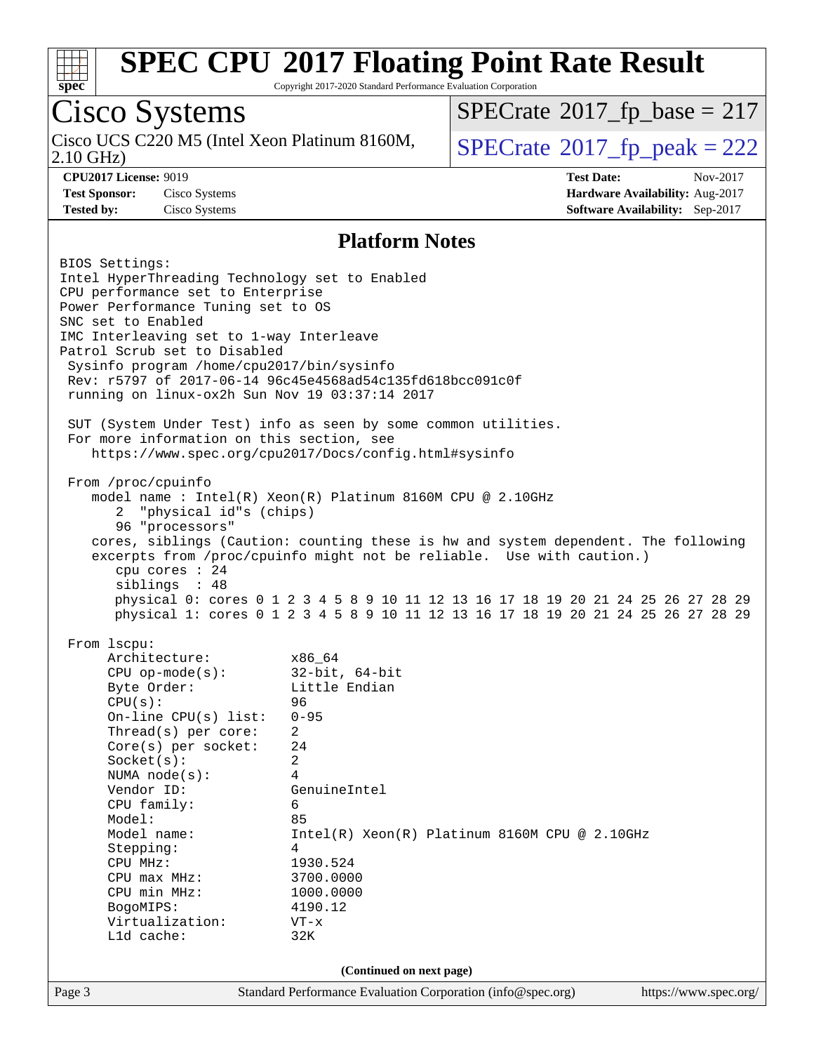

Copyright 2017-2020 Standard Performance Evaluation Corporation

### Cisco Systems

2.10 GHz) Cisco UCS C220 M5 (Intel Xeon Platinum 8160M,  $SPECrate@2017_fp\_peak = 222$  $SPECrate@2017_fp\_peak = 222$ 

 $SPECTate$ <sup>®</sup>[2017\\_fp\\_base =](http://www.spec.org/auto/cpu2017/Docs/result-fields.html#SPECrate2017fpbase) 217

**[CPU2017 License:](http://www.spec.org/auto/cpu2017/Docs/result-fields.html#CPU2017License)** 9019 **[Test Date:](http://www.spec.org/auto/cpu2017/Docs/result-fields.html#TestDate)** Nov-2017 **[Test Sponsor:](http://www.spec.org/auto/cpu2017/Docs/result-fields.html#TestSponsor)** Cisco Systems **[Hardware Availability:](http://www.spec.org/auto/cpu2017/Docs/result-fields.html#HardwareAvailability)** Aug-2017 **[Tested by:](http://www.spec.org/auto/cpu2017/Docs/result-fields.html#Testedby)** Cisco Systems **[Software Availability:](http://www.spec.org/auto/cpu2017/Docs/result-fields.html#SoftwareAvailability)** Sep-2017

#### **[Platform Notes](http://www.spec.org/auto/cpu2017/Docs/result-fields.html#PlatformNotes)**

Page 3 Standard Performance Evaluation Corporation [\(info@spec.org\)](mailto:info@spec.org) <https://www.spec.org/> BIOS Settings: Intel HyperThreading Technology set to Enabled CPU performance set to Enterprise Power Performance Tuning set to OS SNC set to Enabled IMC Interleaving set to 1-way Interleave Patrol Scrub set to Disabled Sysinfo program /home/cpu2017/bin/sysinfo Rev: r5797 of 2017-06-14 96c45e4568ad54c135fd618bcc091c0f running on linux-ox2h Sun Nov 19 03:37:14 2017 SUT (System Under Test) info as seen by some common utilities. For more information on this section, see <https://www.spec.org/cpu2017/Docs/config.html#sysinfo> From /proc/cpuinfo model name : Intel(R) Xeon(R) Platinum 8160M CPU @ 2.10GHz 2 "physical id"s (chips) 96 "processors" cores, siblings (Caution: counting these is hw and system dependent. The following excerpts from /proc/cpuinfo might not be reliable. Use with caution.) cpu cores : 24 siblings : 48 physical 0: cores 0 1 2 3 4 5 8 9 10 11 12 13 16 17 18 19 20 21 24 25 26 27 28 29 physical 1: cores 0 1 2 3 4 5 8 9 10 11 12 13 16 17 18 19 20 21 24 25 26 27 28 29 From lscpu: Architecture: x86\_64<br>
CPU op-mode(s): 32-bit, 64-bit CPU op-mode $(s):$ Byte Order: Little Endian CPU(s): 96 On-line CPU(s) list: 0-95 Thread(s) per core: 2 Core(s) per socket: 24 Socket(s): 2 NUMA node(s): 4 Vendor ID: GenuineIntel CPU family: 6 Model: 85 Model name: Intel(R) Xeon(R) Platinum 8160M CPU @ 2.10GHz Stepping: 4 CPU MHz: 1930.524 CPU max MHz: 3700.0000 CPU min MHz: 1000.0000 BogoMIPS: 4190.12 Virtualization: VT-x L1d cache: 32K **(Continued on next page)**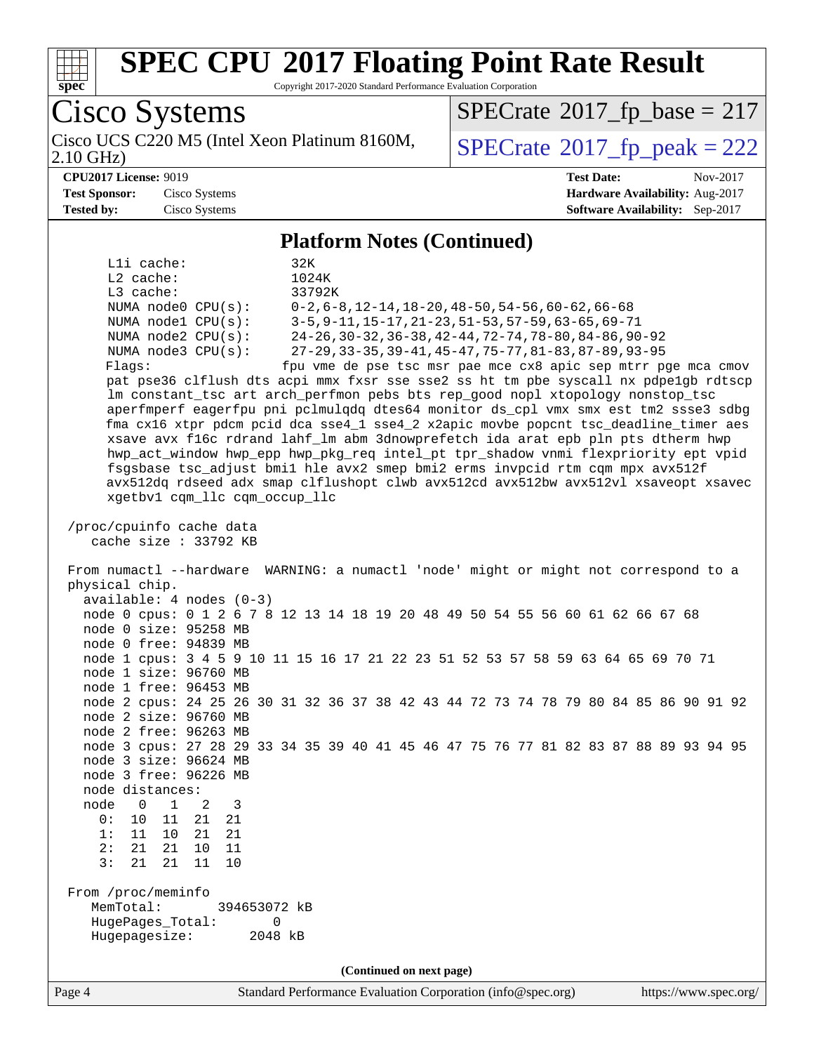

Copyright 2017-2020 Standard Performance Evaluation Corporation

Cisco Systems Cisco UCS C220 M5 (Intel Xeon Platinum 8160M,<br>2.10 GHz)  $SPECTate<sup>®</sup>2017_fp_peak = 222$  $SPECTate<sup>®</sup>2017_fp_peak = 222$  $SPECTate<sup>®</sup>2017_fp_peak = 222$  $SPECTate$ <sup>®</sup>[2017\\_fp\\_base =](http://www.spec.org/auto/cpu2017/Docs/result-fields.html#SPECrate2017fpbase) 217 **[CPU2017 License:](http://www.spec.org/auto/cpu2017/Docs/result-fields.html#CPU2017License)** 9019 **[Test Date:](http://www.spec.org/auto/cpu2017/Docs/result-fields.html#TestDate)** Nov-2017 **[Test Sponsor:](http://www.spec.org/auto/cpu2017/Docs/result-fields.html#TestSponsor)** Cisco Systems **[Hardware Availability:](http://www.spec.org/auto/cpu2017/Docs/result-fields.html#HardwareAvailability)** Aug-2017 **[Tested by:](http://www.spec.org/auto/cpu2017/Docs/result-fields.html#Testedby)** Cisco Systems **[Software Availability:](http://www.spec.org/auto/cpu2017/Docs/result-fields.html#SoftwareAvailability)** Sep-2017 **[Platform Notes \(Continued\)](http://www.spec.org/auto/cpu2017/Docs/result-fields.html#PlatformNotes)** L1i cache: 32K L2 cache: 1024K L3 cache: 33792K NUMA node0 CPU(s): 0-2,6-8,12-14,18-20,48-50,54-56,60-62,66-68 NUMA node1 CPU(s): 3-5,9-11,15-17,21-23,51-53,57-59,63-65,69-71 NUMA node2 CPU(s): 24-26,30-32,36-38,42-44,72-74,78-80,84-86,90-92 NUMA node3 CPU(s): 27-29,33-35,39-41,45-47,75-77,81-83,87-89,93-95 Flags: fpu vme de pse tsc msr pae mce cx8 apic sep mtrr pge mca cmov pat pse36 clflush dts acpi mmx fxsr sse sse2 ss ht tm pbe syscall nx pdpe1gb rdtscp lm constant\_tsc art arch\_perfmon pebs bts rep\_good nopl xtopology nonstop\_tsc aperfmperf eagerfpu pni pclmulqdq dtes64 monitor ds\_cpl vmx smx est tm2 ssse3 sdbg fma cx16 xtpr pdcm pcid dca sse4\_1 sse4\_2 x2apic movbe popcnt tsc\_deadline\_timer aes xsave avx f16c rdrand lahf\_lm abm 3dnowprefetch ida arat epb pln pts dtherm hwp hwp\_act\_window hwp\_epp hwp\_pkg\_req intel\_pt tpr\_shadow vnmi flexpriority ept vpid fsgsbase tsc\_adjust bmi1 hle avx2 smep bmi2 erms invpcid rtm cqm mpx avx512f avx512dq rdseed adx smap clflushopt clwb avx512cd avx512bw avx512vl xsaveopt xsavec xgetbv1 cqm\_llc cqm\_occup\_llc /proc/cpuinfo cache data cache size : 33792 KB From numactl --hardware WARNING: a numactl 'node' might or might not correspond to a physical chip. available: 4 nodes (0-3) node 0 cpus: 0 1 2 6 7 8 12 13 14 18 19 20 48 49 50 54 55 56 60 61 62 66 67 68 node 0 size: 95258 MB node 0 free: 94839 MB node 1 cpus: 3 4 5 9 10 11 15 16 17 21 22 23 51 52 53 57 58 59 63 64 65 69 70 71 node 1 size: 96760 MB node 1 free: 96453 MB node 2 cpus: 24 25 26 30 31 32 36 37 38 42 43 44 72 73 74 78 79 80 84 85 86 90 91 92 node 2 size: 96760 MB node 2 free: 96263 MB node 3 cpus: 27 28 29 33 34 35 39 40 41 45 46 47 75 76 77 81 82 83 87 88 89 93 94 95 node 3 size: 96624 MB node 3 free: 96226 MB node distances: node 0 1 2 3 0: 10 11 21 21 1: 11 10 21 21 2: 21 21 10 11 3: 21 21 11 10 From /proc/meminfo MemTotal: 394653072 kB HugePages\_Total: 0 Hugepagesize: 2048 kB **(Continued on next page)**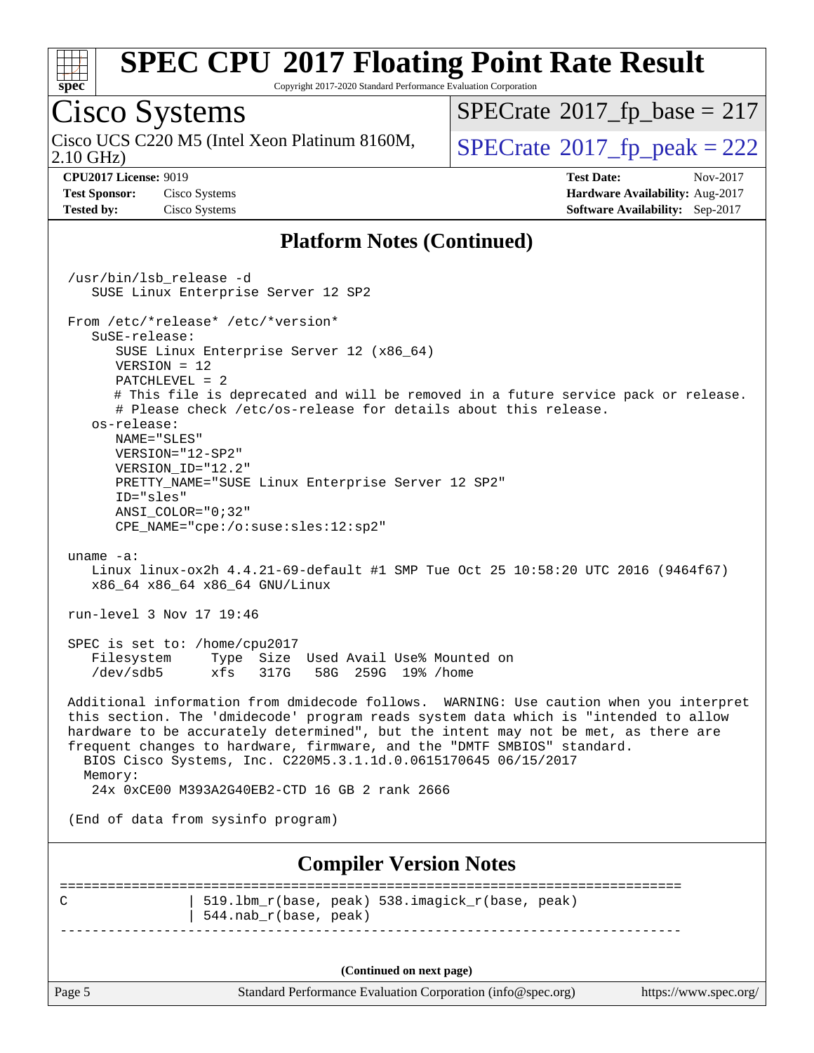

Copyright 2017-2020 Standard Performance Evaluation Corporation

Cisco Systems 2.10 GHz) Cisco UCS C220 M5 (Intel Xeon Platinum 8160M,  $SPECrate@2017_fp\_peak = 222$  $SPECrate@2017_fp\_peak = 222$  $SPECTate$ <sup>®</sup>[2017\\_fp\\_base =](http://www.spec.org/auto/cpu2017/Docs/result-fields.html#SPECrate2017fpbase) 217 **[CPU2017 License:](http://www.spec.org/auto/cpu2017/Docs/result-fields.html#CPU2017License)** 9019 **[Test Date:](http://www.spec.org/auto/cpu2017/Docs/result-fields.html#TestDate)** Nov-2017 **[Test Sponsor:](http://www.spec.org/auto/cpu2017/Docs/result-fields.html#TestSponsor)** Cisco Systems **[Hardware Availability:](http://www.spec.org/auto/cpu2017/Docs/result-fields.html#HardwareAvailability)** Aug-2017 **[Tested by:](http://www.spec.org/auto/cpu2017/Docs/result-fields.html#Testedby)** Cisco Systems **[Software Availability:](http://www.spec.org/auto/cpu2017/Docs/result-fields.html#SoftwareAvailability)** Sep-2017 **[Platform Notes \(Continued\)](http://www.spec.org/auto/cpu2017/Docs/result-fields.html#PlatformNotes)** /usr/bin/lsb\_release -d SUSE Linux Enterprise Server 12 SP2 From /etc/\*release\* /etc/\*version\* SuSE-release: SUSE Linux Enterprise Server 12 (x86\_64) VERSION = 12 PATCHLEVEL = 2 # This file is deprecated and will be removed in a future service pack or release. # Please check /etc/os-release for details about this release. os-release: NAME="SLES" VERSION="12-SP2" VERSION\_ID="12.2" PRETTY\_NAME="SUSE Linux Enterprise Server 12 SP2" ID="sles" ANSI\_COLOR="0;32" CPE\_NAME="cpe:/o:suse:sles:12:sp2" uname -a: Linux linux-ox2h 4.4.21-69-default #1 SMP Tue Oct 25 10:58:20 UTC 2016 (9464f67) x86\_64 x86\_64 x86\_64 GNU/Linux run-level 3 Nov 17 19:46 SPEC is set to: /home/cpu2017<br>Filesystem Type Size Type Size Used Avail Use% Mounted on /dev/sdb5 xfs 317G 58G 259G 19% /home Additional information from dmidecode follows. WARNING: Use caution when you interpret this section. The 'dmidecode' program reads system data which is "intended to allow hardware to be accurately determined", but the intent may not be met, as there are frequent changes to hardware, firmware, and the "DMTF SMBIOS" standard. BIOS Cisco Systems, Inc. C220M5.3.1.1d.0.0615170645 06/15/2017 Memory: 24x 0xCE00 M393A2G40EB2-CTD 16 GB 2 rank 2666 (End of data from sysinfo program) **[Compiler Version Notes](http://www.spec.org/auto/cpu2017/Docs/result-fields.html#CompilerVersionNotes)** ============================================================================== C | 519.lbm\_r(base, peak) 538.imagick\_r(base, peak) | 544.nab\_r(base, peak)

------------------------------------------------------------------------------

**(Continued on next page)**

Page 5 Standard Performance Evaluation Corporation [\(info@spec.org\)](mailto:info@spec.org) <https://www.spec.org/>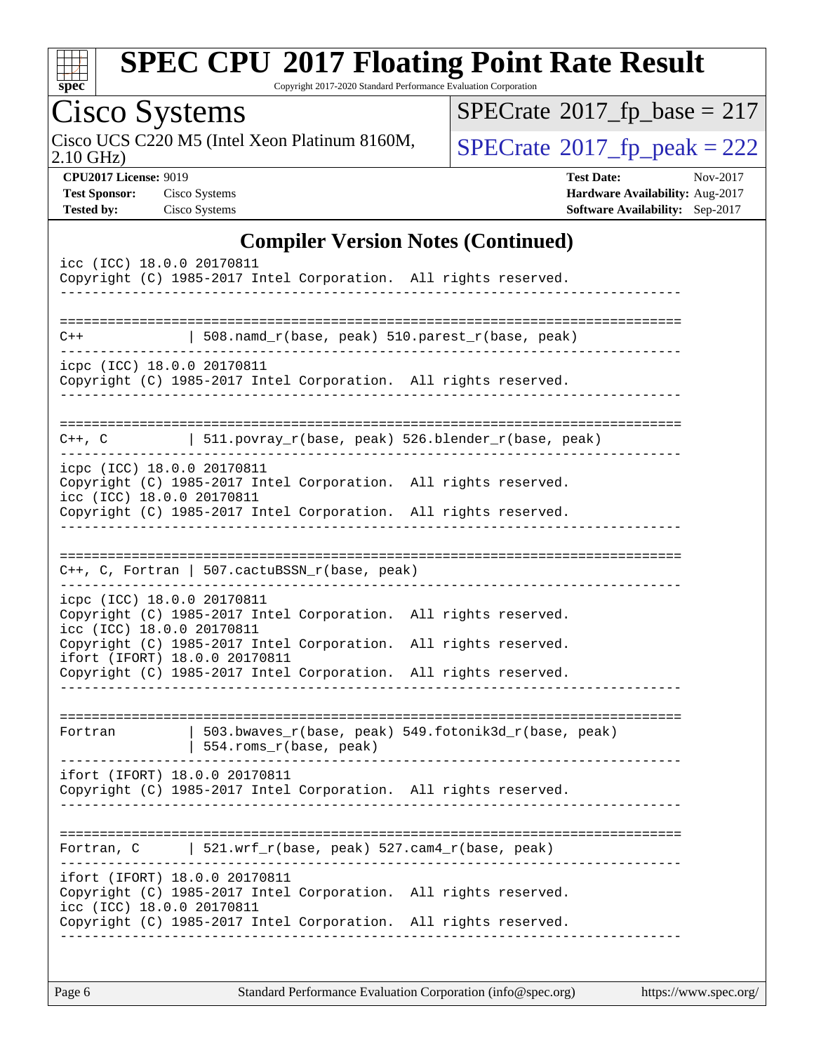|  | spe | Ľ |  |
|--|-----|---|--|

Copyright 2017-2020 Standard Performance Evaluation Corporation

| Cisco Systems                                                                                                                                  | $SPECTate$ <sup>®</sup> 2017_fp_base = 217                                                                 |
|------------------------------------------------------------------------------------------------------------------------------------------------|------------------------------------------------------------------------------------------------------------|
| Cisco UCS C220 M5 (Intel Xeon Platinum 8160M,<br>$2.10$ GHz)                                                                                   | $SPECTate@2017fr peak = 222$                                                                               |
| <b>CPU2017 License: 9019</b><br><b>Test Sponsor:</b><br>Cisco Systems<br>Cisco Systems<br><b>Tested by:</b>                                    | <b>Test Date:</b><br>Nov-2017<br>Hardware Availability: Aug-2017<br><b>Software Availability:</b> Sep-2017 |
| <b>Compiler Version Notes (Continued)</b>                                                                                                      |                                                                                                            |
| icc (ICC) 18.0.0 20170811<br>Copyright (C) 1985-2017 Intel Corporation. All rights reserved.                                                   |                                                                                                            |
| 508.namd_r(base, peak) 510.parest_r(base, peak)<br>$C++$                                                                                       |                                                                                                            |
| icpc (ICC) 18.0.0 20170811<br>Copyright (C) 1985-2017 Intel Corporation. All rights reserved.<br>---------------                               |                                                                                                            |
| C++, C $ 511.povray_r(base, peak) 526.blender_r(base, peak)$                                                                                   |                                                                                                            |
| icpc (ICC) 18.0.0 20170811<br>Copyright (C) 1985-2017 Intel Corporation. All rights reserved.<br>icc (ICC) 18.0.0 20170811                     |                                                                                                            |
| Copyright (C) 1985-2017 Intel Corporation. All rights reserved.                                                                                |                                                                                                            |
| $C++$ , C, Fortran   507.cactuBSSN_r(base, peak)                                                                                               |                                                                                                            |
| icpc (ICC) 18.0.0 20170811<br>Copyright (C) 1985-2017 Intel Corporation. All rights reserved.<br>icc (ICC) 18.0.0 20170811                     |                                                                                                            |
| Copyright (C) 1985-2017 Intel Corporation.<br>ifort (IFORT) 18.0.0 20170811<br>Copyright (C) 1985-2017 Intel Corporation. All rights reserved. | All rights reserved.                                                                                       |
| .----------------------------------                                                                                                            |                                                                                                            |
| 503.bwaves_r(base, peak) 549.fotonik3d_r(base, peak)<br>Fortran<br>554.roms_r(base, peak)                                                      |                                                                                                            |
| ifort (IFORT) 18.0.0 20170811<br>Copyright (C) 1985-2017 Intel Corporation. All rights reserved.                                               |                                                                                                            |
| Fortran, C   521.wrf_r(base, peak) $527$ .cam4_r(base, peak)                                                                                   |                                                                                                            |
| ifort (IFORT) 18.0.0 20170811<br>Copyright (C) 1985-2017 Intel Corporation. All rights reserved.<br>icc (ICC) 18.0.0 20170811                  |                                                                                                            |
| Copyright (C) 1985-2017 Intel Corporation. All rights reserved.                                                                                |                                                                                                            |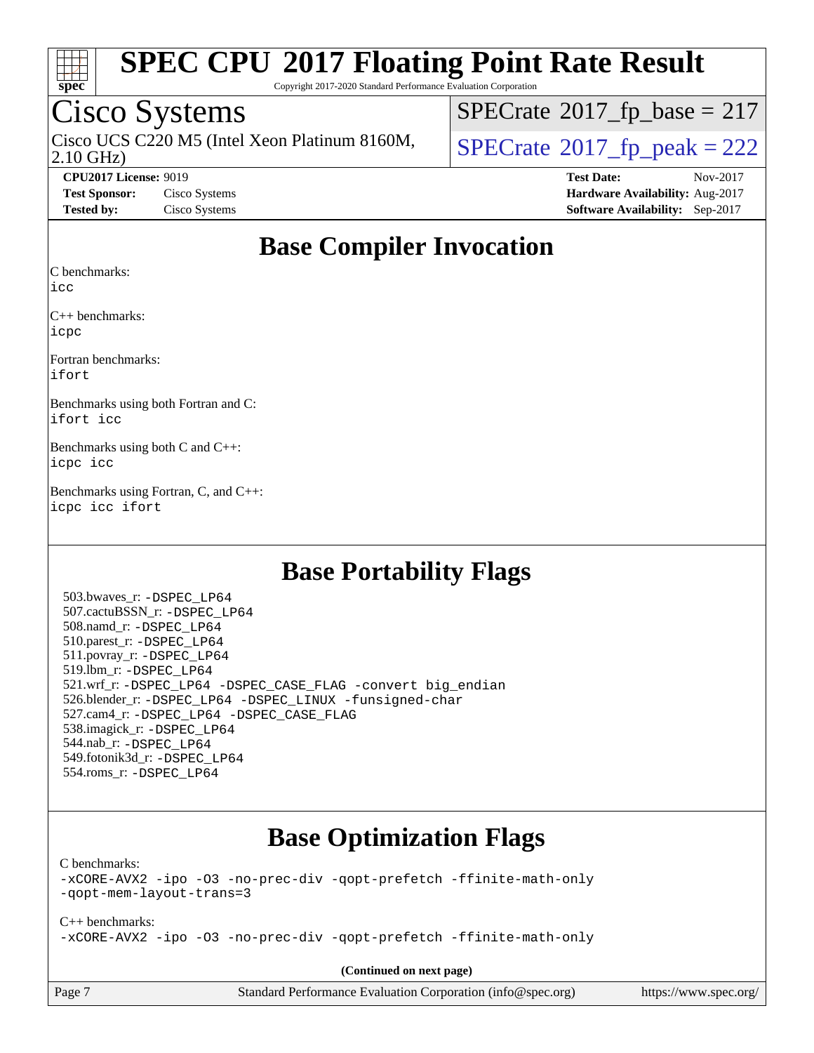

Copyright 2017-2020 Standard Performance Evaluation Corporation

### Cisco Systems

Cisco UCS C220 M5 (Intel Xeon Platinum 8160M,  $SPECrate@2017_fp\_peak = 222$  $SPECrate@2017_fp\_peak = 222$ 

 $SPECTate$ <sup>®</sup>[2017\\_fp\\_base =](http://www.spec.org/auto/cpu2017/Docs/result-fields.html#SPECrate2017fpbase) 217

2.10 GHz)

**[CPU2017 License:](http://www.spec.org/auto/cpu2017/Docs/result-fields.html#CPU2017License)** 9019 **[Test Date:](http://www.spec.org/auto/cpu2017/Docs/result-fields.html#TestDate)** Nov-2017 **[Test Sponsor:](http://www.spec.org/auto/cpu2017/Docs/result-fields.html#TestSponsor)** Cisco Systems **[Hardware Availability:](http://www.spec.org/auto/cpu2017/Docs/result-fields.html#HardwareAvailability)** Aug-2017 **[Tested by:](http://www.spec.org/auto/cpu2017/Docs/result-fields.html#Testedby)** Cisco Systems **[Software Availability:](http://www.spec.org/auto/cpu2017/Docs/result-fields.html#SoftwareAvailability)** Sep-2017

#### **[Base Compiler Invocation](http://www.spec.org/auto/cpu2017/Docs/result-fields.html#BaseCompilerInvocation)**

[C benchmarks](http://www.spec.org/auto/cpu2017/Docs/result-fields.html#Cbenchmarks):

[icc](http://www.spec.org/cpu2017/results/res2017q4/cpu2017-20171128-01133.flags.html#user_CCbase_intel_icc_18.0_66fc1ee009f7361af1fbd72ca7dcefbb700085f36577c54f309893dd4ec40d12360134090235512931783d35fd58c0460139e722d5067c5574d8eaf2b3e37e92)

[C++ benchmarks](http://www.spec.org/auto/cpu2017/Docs/result-fields.html#CXXbenchmarks): [icpc](http://www.spec.org/cpu2017/results/res2017q4/cpu2017-20171128-01133.flags.html#user_CXXbase_intel_icpc_18.0_c510b6838c7f56d33e37e94d029a35b4a7bccf4766a728ee175e80a419847e808290a9b78be685c44ab727ea267ec2f070ec5dc83b407c0218cded6866a35d07)

[Fortran benchmarks:](http://www.spec.org/auto/cpu2017/Docs/result-fields.html#Fortranbenchmarks) [ifort](http://www.spec.org/cpu2017/results/res2017q4/cpu2017-20171128-01133.flags.html#user_FCbase_intel_ifort_18.0_8111460550e3ca792625aed983ce982f94888b8b503583aa7ba2b8303487b4d8a21a13e7191a45c5fd58ff318f48f9492884d4413fa793fd88dd292cad7027ca)

[Benchmarks using both Fortran and C](http://www.spec.org/auto/cpu2017/Docs/result-fields.html#BenchmarksusingbothFortranandC): [ifort](http://www.spec.org/cpu2017/results/res2017q4/cpu2017-20171128-01133.flags.html#user_CC_FCbase_intel_ifort_18.0_8111460550e3ca792625aed983ce982f94888b8b503583aa7ba2b8303487b4d8a21a13e7191a45c5fd58ff318f48f9492884d4413fa793fd88dd292cad7027ca) [icc](http://www.spec.org/cpu2017/results/res2017q4/cpu2017-20171128-01133.flags.html#user_CC_FCbase_intel_icc_18.0_66fc1ee009f7361af1fbd72ca7dcefbb700085f36577c54f309893dd4ec40d12360134090235512931783d35fd58c0460139e722d5067c5574d8eaf2b3e37e92)

[Benchmarks using both C and C++:](http://www.spec.org/auto/cpu2017/Docs/result-fields.html#BenchmarksusingbothCandCXX) [icpc](http://www.spec.org/cpu2017/results/res2017q4/cpu2017-20171128-01133.flags.html#user_CC_CXXbase_intel_icpc_18.0_c510b6838c7f56d33e37e94d029a35b4a7bccf4766a728ee175e80a419847e808290a9b78be685c44ab727ea267ec2f070ec5dc83b407c0218cded6866a35d07) [icc](http://www.spec.org/cpu2017/results/res2017q4/cpu2017-20171128-01133.flags.html#user_CC_CXXbase_intel_icc_18.0_66fc1ee009f7361af1fbd72ca7dcefbb700085f36577c54f309893dd4ec40d12360134090235512931783d35fd58c0460139e722d5067c5574d8eaf2b3e37e92)

[Benchmarks using Fortran, C, and C++](http://www.spec.org/auto/cpu2017/Docs/result-fields.html#BenchmarksusingFortranCandCXX): [icpc](http://www.spec.org/cpu2017/results/res2017q4/cpu2017-20171128-01133.flags.html#user_CC_CXX_FCbase_intel_icpc_18.0_c510b6838c7f56d33e37e94d029a35b4a7bccf4766a728ee175e80a419847e808290a9b78be685c44ab727ea267ec2f070ec5dc83b407c0218cded6866a35d07) [icc](http://www.spec.org/cpu2017/results/res2017q4/cpu2017-20171128-01133.flags.html#user_CC_CXX_FCbase_intel_icc_18.0_66fc1ee009f7361af1fbd72ca7dcefbb700085f36577c54f309893dd4ec40d12360134090235512931783d35fd58c0460139e722d5067c5574d8eaf2b3e37e92) [ifort](http://www.spec.org/cpu2017/results/res2017q4/cpu2017-20171128-01133.flags.html#user_CC_CXX_FCbase_intel_ifort_18.0_8111460550e3ca792625aed983ce982f94888b8b503583aa7ba2b8303487b4d8a21a13e7191a45c5fd58ff318f48f9492884d4413fa793fd88dd292cad7027ca)

#### **[Base Portability Flags](http://www.spec.org/auto/cpu2017/Docs/result-fields.html#BasePortabilityFlags)**

 503.bwaves\_r: [-DSPEC\\_LP64](http://www.spec.org/cpu2017/results/res2017q4/cpu2017-20171128-01133.flags.html#suite_basePORTABILITY503_bwaves_r_DSPEC_LP64) 507.cactuBSSN\_r: [-DSPEC\\_LP64](http://www.spec.org/cpu2017/results/res2017q4/cpu2017-20171128-01133.flags.html#suite_basePORTABILITY507_cactuBSSN_r_DSPEC_LP64) 508.namd\_r: [-DSPEC\\_LP64](http://www.spec.org/cpu2017/results/res2017q4/cpu2017-20171128-01133.flags.html#suite_basePORTABILITY508_namd_r_DSPEC_LP64) 510.parest\_r: [-DSPEC\\_LP64](http://www.spec.org/cpu2017/results/res2017q4/cpu2017-20171128-01133.flags.html#suite_basePORTABILITY510_parest_r_DSPEC_LP64) 511.povray\_r: [-DSPEC\\_LP64](http://www.spec.org/cpu2017/results/res2017q4/cpu2017-20171128-01133.flags.html#suite_basePORTABILITY511_povray_r_DSPEC_LP64) 519.lbm\_r: [-DSPEC\\_LP64](http://www.spec.org/cpu2017/results/res2017q4/cpu2017-20171128-01133.flags.html#suite_basePORTABILITY519_lbm_r_DSPEC_LP64) 521.wrf\_r: [-DSPEC\\_LP64](http://www.spec.org/cpu2017/results/res2017q4/cpu2017-20171128-01133.flags.html#suite_basePORTABILITY521_wrf_r_DSPEC_LP64) [-DSPEC\\_CASE\\_FLAG](http://www.spec.org/cpu2017/results/res2017q4/cpu2017-20171128-01133.flags.html#b521.wrf_r_baseCPORTABILITY_DSPEC_CASE_FLAG) [-convert big\\_endian](http://www.spec.org/cpu2017/results/res2017q4/cpu2017-20171128-01133.flags.html#user_baseFPORTABILITY521_wrf_r_convert_big_endian_c3194028bc08c63ac5d04de18c48ce6d347e4e562e8892b8bdbdc0214820426deb8554edfa529a3fb25a586e65a3d812c835984020483e7e73212c4d31a38223) 526.blender\_r: [-DSPEC\\_LP64](http://www.spec.org/cpu2017/results/res2017q4/cpu2017-20171128-01133.flags.html#suite_basePORTABILITY526_blender_r_DSPEC_LP64) [-DSPEC\\_LINUX](http://www.spec.org/cpu2017/results/res2017q4/cpu2017-20171128-01133.flags.html#b526.blender_r_baseCPORTABILITY_DSPEC_LINUX) [-funsigned-char](http://www.spec.org/cpu2017/results/res2017q4/cpu2017-20171128-01133.flags.html#user_baseCPORTABILITY526_blender_r_force_uchar_40c60f00ab013830e2dd6774aeded3ff59883ba5a1fc5fc14077f794d777847726e2a5858cbc7672e36e1b067e7e5c1d9a74f7176df07886a243d7cc18edfe67) 527.cam4\_r: [-DSPEC\\_LP64](http://www.spec.org/cpu2017/results/res2017q4/cpu2017-20171128-01133.flags.html#suite_basePORTABILITY527_cam4_r_DSPEC_LP64) [-DSPEC\\_CASE\\_FLAG](http://www.spec.org/cpu2017/results/res2017q4/cpu2017-20171128-01133.flags.html#b527.cam4_r_baseCPORTABILITY_DSPEC_CASE_FLAG) 538.imagick\_r: [-DSPEC\\_LP64](http://www.spec.org/cpu2017/results/res2017q4/cpu2017-20171128-01133.flags.html#suite_basePORTABILITY538_imagick_r_DSPEC_LP64) 544.nab\_r: [-DSPEC\\_LP64](http://www.spec.org/cpu2017/results/res2017q4/cpu2017-20171128-01133.flags.html#suite_basePORTABILITY544_nab_r_DSPEC_LP64) 549.fotonik3d\_r: [-DSPEC\\_LP64](http://www.spec.org/cpu2017/results/res2017q4/cpu2017-20171128-01133.flags.html#suite_basePORTABILITY549_fotonik3d_r_DSPEC_LP64) 554.roms\_r: [-DSPEC\\_LP64](http://www.spec.org/cpu2017/results/res2017q4/cpu2017-20171128-01133.flags.html#suite_basePORTABILITY554_roms_r_DSPEC_LP64)

### **[Base Optimization Flags](http://www.spec.org/auto/cpu2017/Docs/result-fields.html#BaseOptimizationFlags)**

[C benchmarks](http://www.spec.org/auto/cpu2017/Docs/result-fields.html#Cbenchmarks):

[-xCORE-AVX2](http://www.spec.org/cpu2017/results/res2017q4/cpu2017-20171128-01133.flags.html#user_CCbase_f-xCORE-AVX2) [-ipo](http://www.spec.org/cpu2017/results/res2017q4/cpu2017-20171128-01133.flags.html#user_CCbase_f-ipo) [-O3](http://www.spec.org/cpu2017/results/res2017q4/cpu2017-20171128-01133.flags.html#user_CCbase_f-O3) [-no-prec-div](http://www.spec.org/cpu2017/results/res2017q4/cpu2017-20171128-01133.flags.html#user_CCbase_f-no-prec-div) [-qopt-prefetch](http://www.spec.org/cpu2017/results/res2017q4/cpu2017-20171128-01133.flags.html#user_CCbase_f-qopt-prefetch) [-ffinite-math-only](http://www.spec.org/cpu2017/results/res2017q4/cpu2017-20171128-01133.flags.html#user_CCbase_f_finite_math_only_cb91587bd2077682c4b38af759c288ed7c732db004271a9512da14a4f8007909a5f1427ecbf1a0fb78ff2a814402c6114ac565ca162485bbcae155b5e4258871) [-qopt-mem-layout-trans=3](http://www.spec.org/cpu2017/results/res2017q4/cpu2017-20171128-01133.flags.html#user_CCbase_f-qopt-mem-layout-trans_de80db37974c74b1f0e20d883f0b675c88c3b01e9d123adea9b28688d64333345fb62bc4a798493513fdb68f60282f9a726aa07f478b2f7113531aecce732043)

[C++ benchmarks:](http://www.spec.org/auto/cpu2017/Docs/result-fields.html#CXXbenchmarks) [-xCORE-AVX2](http://www.spec.org/cpu2017/results/res2017q4/cpu2017-20171128-01133.flags.html#user_CXXbase_f-xCORE-AVX2) [-ipo](http://www.spec.org/cpu2017/results/res2017q4/cpu2017-20171128-01133.flags.html#user_CXXbase_f-ipo) [-O3](http://www.spec.org/cpu2017/results/res2017q4/cpu2017-20171128-01133.flags.html#user_CXXbase_f-O3) [-no-prec-div](http://www.spec.org/cpu2017/results/res2017q4/cpu2017-20171128-01133.flags.html#user_CXXbase_f-no-prec-div) [-qopt-prefetch](http://www.spec.org/cpu2017/results/res2017q4/cpu2017-20171128-01133.flags.html#user_CXXbase_f-qopt-prefetch) [-ffinite-math-only](http://www.spec.org/cpu2017/results/res2017q4/cpu2017-20171128-01133.flags.html#user_CXXbase_f_finite_math_only_cb91587bd2077682c4b38af759c288ed7c732db004271a9512da14a4f8007909a5f1427ecbf1a0fb78ff2a814402c6114ac565ca162485bbcae155b5e4258871)

**(Continued on next page)**

spec.org) <https://www.spec.org/>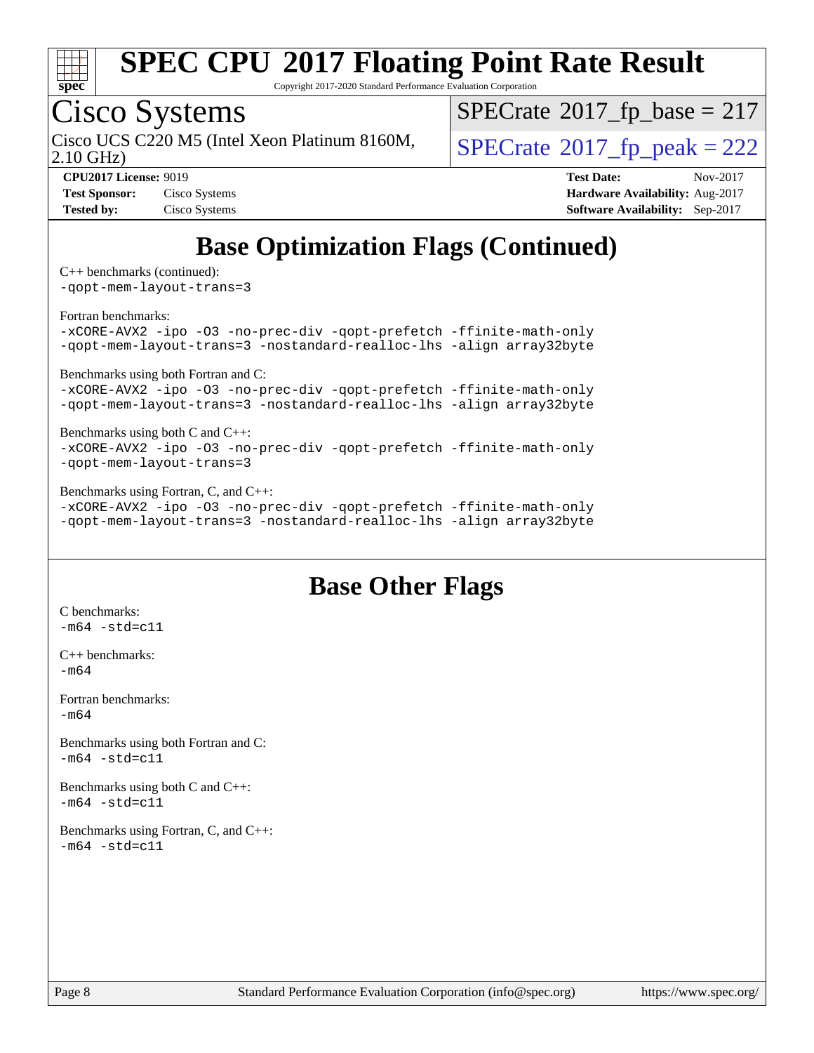

Copyright 2017-2020 Standard Performance Evaluation Corporation

### Cisco Systems

2.10 GHz) Cisco UCS C220 M5 (Intel Xeon Platinum 8160M,  $\big|$  [SPECrate](http://www.spec.org/auto/cpu2017/Docs/result-fields.html#SPECrate2017fppeak)®[2017\\_fp\\_peak = 2](http://www.spec.org/auto/cpu2017/Docs/result-fields.html#SPECrate2017fppeak)22

 $SPECTate$ <sup>®</sup>[2017\\_fp\\_base =](http://www.spec.org/auto/cpu2017/Docs/result-fields.html#SPECrate2017fpbase) 217

**[Test Sponsor:](http://www.spec.org/auto/cpu2017/Docs/result-fields.html#TestSponsor)** Cisco Systems **[Hardware Availability:](http://www.spec.org/auto/cpu2017/Docs/result-fields.html#HardwareAvailability)** Aug-2017 **[Tested by:](http://www.spec.org/auto/cpu2017/Docs/result-fields.html#Testedby)** Cisco Systems **[Software Availability:](http://www.spec.org/auto/cpu2017/Docs/result-fields.html#SoftwareAvailability)** Sep-2017

**[CPU2017 License:](http://www.spec.org/auto/cpu2017/Docs/result-fields.html#CPU2017License)** 9019 **[Test Date:](http://www.spec.org/auto/cpu2017/Docs/result-fields.html#TestDate)** Nov-2017

### **[Base Optimization Flags \(Continued\)](http://www.spec.org/auto/cpu2017/Docs/result-fields.html#BaseOptimizationFlags)**

[C++ benchmarks](http://www.spec.org/auto/cpu2017/Docs/result-fields.html#CXXbenchmarks) (continued): [-qopt-mem-layout-trans=3](http://www.spec.org/cpu2017/results/res2017q4/cpu2017-20171128-01133.flags.html#user_CXXbase_f-qopt-mem-layout-trans_de80db37974c74b1f0e20d883f0b675c88c3b01e9d123adea9b28688d64333345fb62bc4a798493513fdb68f60282f9a726aa07f478b2f7113531aecce732043)

[Fortran benchmarks](http://www.spec.org/auto/cpu2017/Docs/result-fields.html#Fortranbenchmarks):

[-xCORE-AVX2](http://www.spec.org/cpu2017/results/res2017q4/cpu2017-20171128-01133.flags.html#user_FCbase_f-xCORE-AVX2) [-ipo](http://www.spec.org/cpu2017/results/res2017q4/cpu2017-20171128-01133.flags.html#user_FCbase_f-ipo) [-O3](http://www.spec.org/cpu2017/results/res2017q4/cpu2017-20171128-01133.flags.html#user_FCbase_f-O3) [-no-prec-div](http://www.spec.org/cpu2017/results/res2017q4/cpu2017-20171128-01133.flags.html#user_FCbase_f-no-prec-div) [-qopt-prefetch](http://www.spec.org/cpu2017/results/res2017q4/cpu2017-20171128-01133.flags.html#user_FCbase_f-qopt-prefetch) [-ffinite-math-only](http://www.spec.org/cpu2017/results/res2017q4/cpu2017-20171128-01133.flags.html#user_FCbase_f_finite_math_only_cb91587bd2077682c4b38af759c288ed7c732db004271a9512da14a4f8007909a5f1427ecbf1a0fb78ff2a814402c6114ac565ca162485bbcae155b5e4258871) [-qopt-mem-layout-trans=3](http://www.spec.org/cpu2017/results/res2017q4/cpu2017-20171128-01133.flags.html#user_FCbase_f-qopt-mem-layout-trans_de80db37974c74b1f0e20d883f0b675c88c3b01e9d123adea9b28688d64333345fb62bc4a798493513fdb68f60282f9a726aa07f478b2f7113531aecce732043) [-nostandard-realloc-lhs](http://www.spec.org/cpu2017/results/res2017q4/cpu2017-20171128-01133.flags.html#user_FCbase_f_2003_std_realloc_82b4557e90729c0f113870c07e44d33d6f5a304b4f63d4c15d2d0f1fab99f5daaed73bdb9275d9ae411527f28b936061aa8b9c8f2d63842963b95c9dd6426b8a) [-align array32byte](http://www.spec.org/cpu2017/results/res2017q4/cpu2017-20171128-01133.flags.html#user_FCbase_align_array32byte_b982fe038af199962ba9a80c053b8342c548c85b40b8e86eb3cc33dee0d7986a4af373ac2d51c3f7cf710a18d62fdce2948f201cd044323541f22fc0fffc51b6)

[Benchmarks using both Fortran and C](http://www.spec.org/auto/cpu2017/Docs/result-fields.html#BenchmarksusingbothFortranandC):

[-xCORE-AVX2](http://www.spec.org/cpu2017/results/res2017q4/cpu2017-20171128-01133.flags.html#user_CC_FCbase_f-xCORE-AVX2) [-ipo](http://www.spec.org/cpu2017/results/res2017q4/cpu2017-20171128-01133.flags.html#user_CC_FCbase_f-ipo) [-O3](http://www.spec.org/cpu2017/results/res2017q4/cpu2017-20171128-01133.flags.html#user_CC_FCbase_f-O3) [-no-prec-div](http://www.spec.org/cpu2017/results/res2017q4/cpu2017-20171128-01133.flags.html#user_CC_FCbase_f-no-prec-div) [-qopt-prefetch](http://www.spec.org/cpu2017/results/res2017q4/cpu2017-20171128-01133.flags.html#user_CC_FCbase_f-qopt-prefetch) [-ffinite-math-only](http://www.spec.org/cpu2017/results/res2017q4/cpu2017-20171128-01133.flags.html#user_CC_FCbase_f_finite_math_only_cb91587bd2077682c4b38af759c288ed7c732db004271a9512da14a4f8007909a5f1427ecbf1a0fb78ff2a814402c6114ac565ca162485bbcae155b5e4258871) [-qopt-mem-layout-trans=3](http://www.spec.org/cpu2017/results/res2017q4/cpu2017-20171128-01133.flags.html#user_CC_FCbase_f-qopt-mem-layout-trans_de80db37974c74b1f0e20d883f0b675c88c3b01e9d123adea9b28688d64333345fb62bc4a798493513fdb68f60282f9a726aa07f478b2f7113531aecce732043) [-nostandard-realloc-lhs](http://www.spec.org/cpu2017/results/res2017q4/cpu2017-20171128-01133.flags.html#user_CC_FCbase_f_2003_std_realloc_82b4557e90729c0f113870c07e44d33d6f5a304b4f63d4c15d2d0f1fab99f5daaed73bdb9275d9ae411527f28b936061aa8b9c8f2d63842963b95c9dd6426b8a) [-align array32byte](http://www.spec.org/cpu2017/results/res2017q4/cpu2017-20171128-01133.flags.html#user_CC_FCbase_align_array32byte_b982fe038af199962ba9a80c053b8342c548c85b40b8e86eb3cc33dee0d7986a4af373ac2d51c3f7cf710a18d62fdce2948f201cd044323541f22fc0fffc51b6)

#### [Benchmarks using both C and C++](http://www.spec.org/auto/cpu2017/Docs/result-fields.html#BenchmarksusingbothCandCXX): [-xCORE-AVX2](http://www.spec.org/cpu2017/results/res2017q4/cpu2017-20171128-01133.flags.html#user_CC_CXXbase_f-xCORE-AVX2) [-ipo](http://www.spec.org/cpu2017/results/res2017q4/cpu2017-20171128-01133.flags.html#user_CC_CXXbase_f-ipo) [-O3](http://www.spec.org/cpu2017/results/res2017q4/cpu2017-20171128-01133.flags.html#user_CC_CXXbase_f-O3) [-no-prec-div](http://www.spec.org/cpu2017/results/res2017q4/cpu2017-20171128-01133.flags.html#user_CC_CXXbase_f-no-prec-div) [-qopt-prefetch](http://www.spec.org/cpu2017/results/res2017q4/cpu2017-20171128-01133.flags.html#user_CC_CXXbase_f-qopt-prefetch) [-ffinite-math-only](http://www.spec.org/cpu2017/results/res2017q4/cpu2017-20171128-01133.flags.html#user_CC_CXXbase_f_finite_math_only_cb91587bd2077682c4b38af759c288ed7c732db004271a9512da14a4f8007909a5f1427ecbf1a0fb78ff2a814402c6114ac565ca162485bbcae155b5e4258871)

[-qopt-mem-layout-trans=3](http://www.spec.org/cpu2017/results/res2017q4/cpu2017-20171128-01133.flags.html#user_CC_CXXbase_f-qopt-mem-layout-trans_de80db37974c74b1f0e20d883f0b675c88c3b01e9d123adea9b28688d64333345fb62bc4a798493513fdb68f60282f9a726aa07f478b2f7113531aecce732043)

[Benchmarks using Fortran, C, and C++:](http://www.spec.org/auto/cpu2017/Docs/result-fields.html#BenchmarksusingFortranCandCXX)

[-xCORE-AVX2](http://www.spec.org/cpu2017/results/res2017q4/cpu2017-20171128-01133.flags.html#user_CC_CXX_FCbase_f-xCORE-AVX2) [-ipo](http://www.spec.org/cpu2017/results/res2017q4/cpu2017-20171128-01133.flags.html#user_CC_CXX_FCbase_f-ipo) [-O3](http://www.spec.org/cpu2017/results/res2017q4/cpu2017-20171128-01133.flags.html#user_CC_CXX_FCbase_f-O3) [-no-prec-div](http://www.spec.org/cpu2017/results/res2017q4/cpu2017-20171128-01133.flags.html#user_CC_CXX_FCbase_f-no-prec-div) [-qopt-prefetch](http://www.spec.org/cpu2017/results/res2017q4/cpu2017-20171128-01133.flags.html#user_CC_CXX_FCbase_f-qopt-prefetch) [-ffinite-math-only](http://www.spec.org/cpu2017/results/res2017q4/cpu2017-20171128-01133.flags.html#user_CC_CXX_FCbase_f_finite_math_only_cb91587bd2077682c4b38af759c288ed7c732db004271a9512da14a4f8007909a5f1427ecbf1a0fb78ff2a814402c6114ac565ca162485bbcae155b5e4258871) [-qopt-mem-layout-trans=3](http://www.spec.org/cpu2017/results/res2017q4/cpu2017-20171128-01133.flags.html#user_CC_CXX_FCbase_f-qopt-mem-layout-trans_de80db37974c74b1f0e20d883f0b675c88c3b01e9d123adea9b28688d64333345fb62bc4a798493513fdb68f60282f9a726aa07f478b2f7113531aecce732043) [-nostandard-realloc-lhs](http://www.spec.org/cpu2017/results/res2017q4/cpu2017-20171128-01133.flags.html#user_CC_CXX_FCbase_f_2003_std_realloc_82b4557e90729c0f113870c07e44d33d6f5a304b4f63d4c15d2d0f1fab99f5daaed73bdb9275d9ae411527f28b936061aa8b9c8f2d63842963b95c9dd6426b8a) [-align array32byte](http://www.spec.org/cpu2017/results/res2017q4/cpu2017-20171128-01133.flags.html#user_CC_CXX_FCbase_align_array32byte_b982fe038af199962ba9a80c053b8342c548c85b40b8e86eb3cc33dee0d7986a4af373ac2d51c3f7cf710a18d62fdce2948f201cd044323541f22fc0fffc51b6)

#### **[Base Other Flags](http://www.spec.org/auto/cpu2017/Docs/result-fields.html#BaseOtherFlags)**

[C benchmarks](http://www.spec.org/auto/cpu2017/Docs/result-fields.html#Cbenchmarks):  $-m64 - std= c11$  $-m64 - std= c11$ [C++ benchmarks:](http://www.spec.org/auto/cpu2017/Docs/result-fields.html#CXXbenchmarks) [-m64](http://www.spec.org/cpu2017/results/res2017q4/cpu2017-20171128-01133.flags.html#user_CXXbase_intel_intel64_18.0_af43caccfc8ded86e7699f2159af6efc7655f51387b94da716254467f3c01020a5059329e2569e4053f409e7c9202a7efc638f7a6d1ffb3f52dea4a3e31d82ab) [Fortran benchmarks](http://www.spec.org/auto/cpu2017/Docs/result-fields.html#Fortranbenchmarks):  $-m64$ [Benchmarks using both Fortran and C](http://www.spec.org/auto/cpu2017/Docs/result-fields.html#BenchmarksusingbothFortranandC):  $-m64 - std = c11$  $-m64 - std = c11$ [Benchmarks using both C and C++](http://www.spec.org/auto/cpu2017/Docs/result-fields.html#BenchmarksusingbothCandCXX):  $-m64 - std= c11$  $-m64 - std= c11$ [Benchmarks using Fortran, C, and C++:](http://www.spec.org/auto/cpu2017/Docs/result-fields.html#BenchmarksusingFortranCandCXX)  $-m64 - std= c11$  $-m64 - std= c11$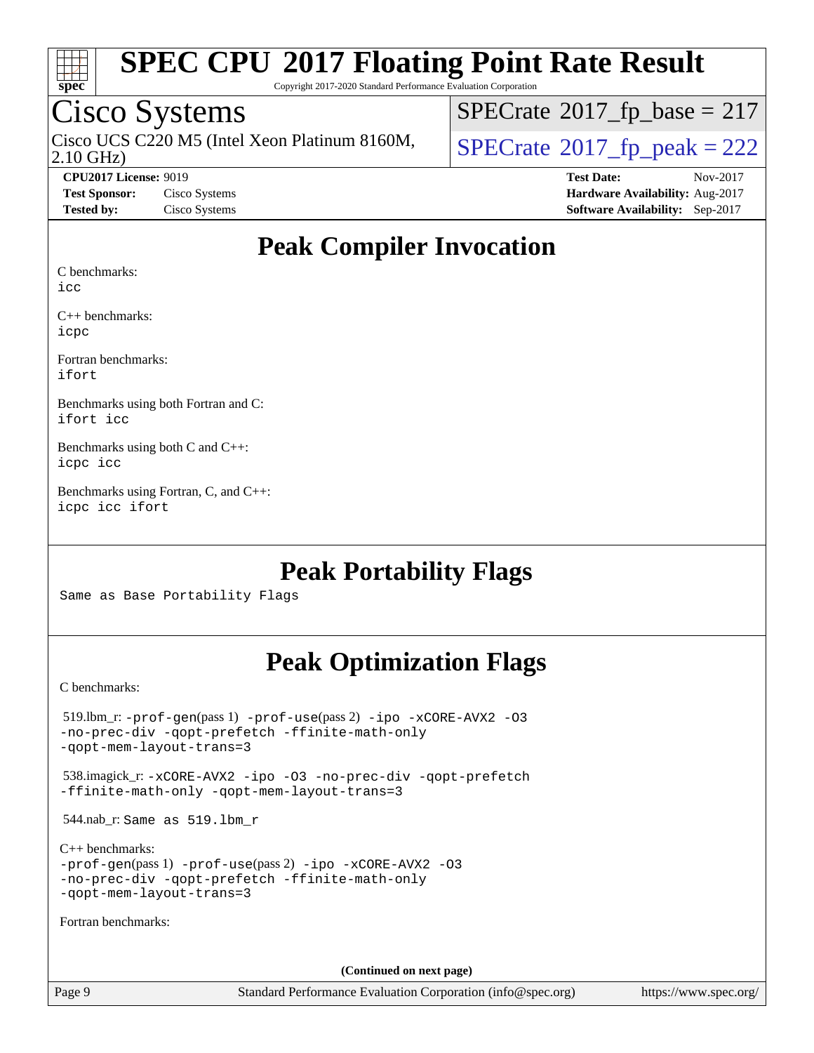

Copyright 2017-2020 Standard Performance Evaluation Corporation

### Cisco Systems

2.10 GHz) Cisco UCS C220 M5 (Intel Xeon Platinum 8160M,  $SPECrate@2017_fp\_peak = 222$  $SPECrate@2017_fp\_peak = 222$ 

 $SPECrate$ <sup>®</sup>[2017\\_fp\\_base =](http://www.spec.org/auto/cpu2017/Docs/result-fields.html#SPECrate2017fpbase) 217

**[CPU2017 License:](http://www.spec.org/auto/cpu2017/Docs/result-fields.html#CPU2017License)** 9019 **[Test Date:](http://www.spec.org/auto/cpu2017/Docs/result-fields.html#TestDate)** Nov-2017 **[Test Sponsor:](http://www.spec.org/auto/cpu2017/Docs/result-fields.html#TestSponsor)** Cisco Systems **[Hardware Availability:](http://www.spec.org/auto/cpu2017/Docs/result-fields.html#HardwareAvailability)** Aug-2017 **[Tested by:](http://www.spec.org/auto/cpu2017/Docs/result-fields.html#Testedby)** Cisco Systems **[Software Availability:](http://www.spec.org/auto/cpu2017/Docs/result-fields.html#SoftwareAvailability)** Sep-2017

#### **[Peak Compiler Invocation](http://www.spec.org/auto/cpu2017/Docs/result-fields.html#PeakCompilerInvocation)**

[C benchmarks:](http://www.spec.org/auto/cpu2017/Docs/result-fields.html#Cbenchmarks)

[icc](http://www.spec.org/cpu2017/results/res2017q4/cpu2017-20171128-01133.flags.html#user_CCpeak_intel_icc_18.0_66fc1ee009f7361af1fbd72ca7dcefbb700085f36577c54f309893dd4ec40d12360134090235512931783d35fd58c0460139e722d5067c5574d8eaf2b3e37e92)

[C++ benchmarks](http://www.spec.org/auto/cpu2017/Docs/result-fields.html#CXXbenchmarks): [icpc](http://www.spec.org/cpu2017/results/res2017q4/cpu2017-20171128-01133.flags.html#user_CXXpeak_intel_icpc_18.0_c510b6838c7f56d33e37e94d029a35b4a7bccf4766a728ee175e80a419847e808290a9b78be685c44ab727ea267ec2f070ec5dc83b407c0218cded6866a35d07)

[Fortran benchmarks:](http://www.spec.org/auto/cpu2017/Docs/result-fields.html#Fortranbenchmarks) [ifort](http://www.spec.org/cpu2017/results/res2017q4/cpu2017-20171128-01133.flags.html#user_FCpeak_intel_ifort_18.0_8111460550e3ca792625aed983ce982f94888b8b503583aa7ba2b8303487b4d8a21a13e7191a45c5fd58ff318f48f9492884d4413fa793fd88dd292cad7027ca)

[Benchmarks using both Fortran and C:](http://www.spec.org/auto/cpu2017/Docs/result-fields.html#BenchmarksusingbothFortranandC) [ifort](http://www.spec.org/cpu2017/results/res2017q4/cpu2017-20171128-01133.flags.html#user_CC_FCpeak_intel_ifort_18.0_8111460550e3ca792625aed983ce982f94888b8b503583aa7ba2b8303487b4d8a21a13e7191a45c5fd58ff318f48f9492884d4413fa793fd88dd292cad7027ca) [icc](http://www.spec.org/cpu2017/results/res2017q4/cpu2017-20171128-01133.flags.html#user_CC_FCpeak_intel_icc_18.0_66fc1ee009f7361af1fbd72ca7dcefbb700085f36577c54f309893dd4ec40d12360134090235512931783d35fd58c0460139e722d5067c5574d8eaf2b3e37e92)

[Benchmarks using both C and C++](http://www.spec.org/auto/cpu2017/Docs/result-fields.html#BenchmarksusingbothCandCXX): [icpc](http://www.spec.org/cpu2017/results/res2017q4/cpu2017-20171128-01133.flags.html#user_CC_CXXpeak_intel_icpc_18.0_c510b6838c7f56d33e37e94d029a35b4a7bccf4766a728ee175e80a419847e808290a9b78be685c44ab727ea267ec2f070ec5dc83b407c0218cded6866a35d07) [icc](http://www.spec.org/cpu2017/results/res2017q4/cpu2017-20171128-01133.flags.html#user_CC_CXXpeak_intel_icc_18.0_66fc1ee009f7361af1fbd72ca7dcefbb700085f36577c54f309893dd4ec40d12360134090235512931783d35fd58c0460139e722d5067c5574d8eaf2b3e37e92)

[Benchmarks using Fortran, C, and C++:](http://www.spec.org/auto/cpu2017/Docs/result-fields.html#BenchmarksusingFortranCandCXX) [icpc](http://www.spec.org/cpu2017/results/res2017q4/cpu2017-20171128-01133.flags.html#user_CC_CXX_FCpeak_intel_icpc_18.0_c510b6838c7f56d33e37e94d029a35b4a7bccf4766a728ee175e80a419847e808290a9b78be685c44ab727ea267ec2f070ec5dc83b407c0218cded6866a35d07) [icc](http://www.spec.org/cpu2017/results/res2017q4/cpu2017-20171128-01133.flags.html#user_CC_CXX_FCpeak_intel_icc_18.0_66fc1ee009f7361af1fbd72ca7dcefbb700085f36577c54f309893dd4ec40d12360134090235512931783d35fd58c0460139e722d5067c5574d8eaf2b3e37e92) [ifort](http://www.spec.org/cpu2017/results/res2017q4/cpu2017-20171128-01133.flags.html#user_CC_CXX_FCpeak_intel_ifort_18.0_8111460550e3ca792625aed983ce982f94888b8b503583aa7ba2b8303487b4d8a21a13e7191a45c5fd58ff318f48f9492884d4413fa793fd88dd292cad7027ca)

#### **[Peak Portability Flags](http://www.spec.org/auto/cpu2017/Docs/result-fields.html#PeakPortabilityFlags)**

Same as Base Portability Flags

### **[Peak Optimization Flags](http://www.spec.org/auto/cpu2017/Docs/result-fields.html#PeakOptimizationFlags)**

[C benchmarks](http://www.spec.org/auto/cpu2017/Docs/result-fields.html#Cbenchmarks):

| $519.$ lbm_r: -prof-qen(pass 1) -prof-use(pass 2) -ipo -xCORE-AVX2 -03<br>-no-prec-div -qopt-prefetch -ffinite-math-only<br>-gopt-mem-layout-trans=3             |
|------------------------------------------------------------------------------------------------------------------------------------------------------------------|
| 538.imagick_r: -xCORE-AVX2 -ipo -03 -no-prec-div -qopt-prefetch<br>-ffinite-math-only -gopt-mem-layout-trans=3                                                   |
| $544.nab_r$ : Same as $519.lbm_r$                                                                                                                                |
| $C_{++}$ benchmarks:<br>$-prof-qen(pass 1) -prof-use(pass 2) -ipo -xCORE-AVX2 -O3$<br>-no-prec-div -qopt-prefetch -ffinite-math-only<br>-gopt-mem-layout-trans=3 |
| Fortran benchmarks:                                                                                                                                              |
|                                                                                                                                                                  |
| (Continued on next page)                                                                                                                                         |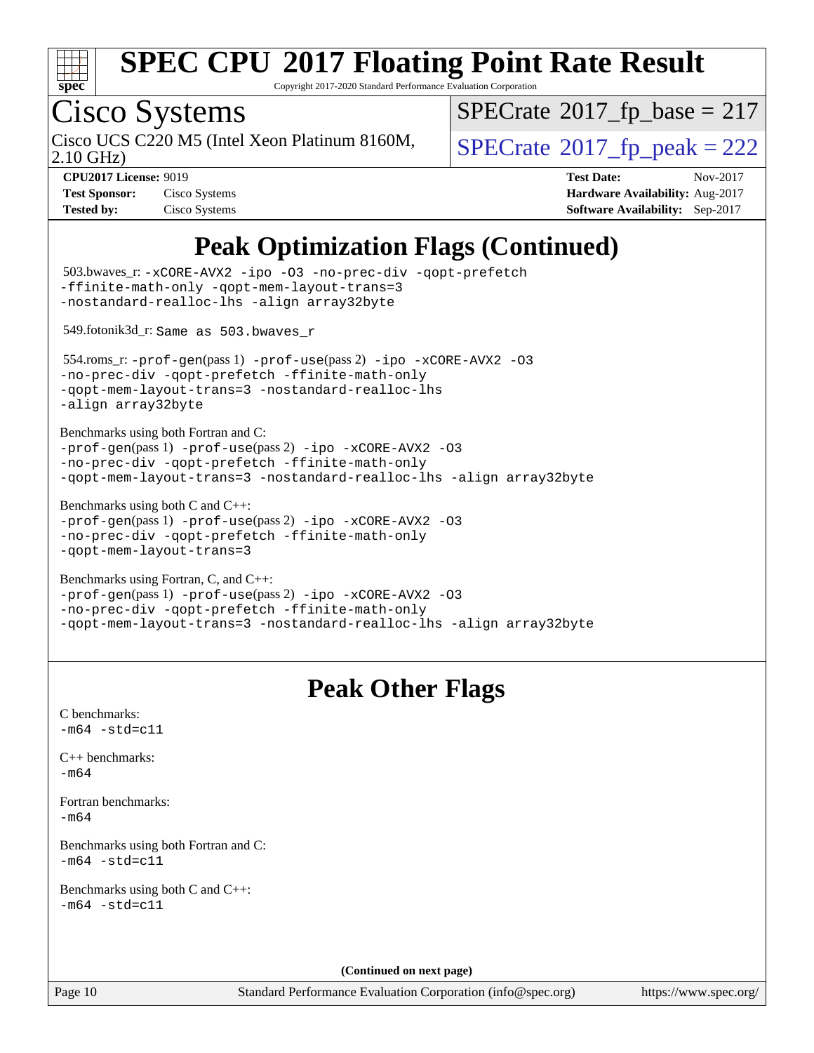

Copyright 2017-2020 Standard Performance Evaluation Corporation

### Cisco Systems

2.10 GHz) Cisco UCS C220 M5 (Intel Xeon Platinum 8160M,  $SPECrate@2017_fp\_peak = 222$  $SPECrate@2017_fp\_peak = 222$ 

 $SPECrate$ <sup>®</sup>[2017\\_fp\\_base =](http://www.spec.org/auto/cpu2017/Docs/result-fields.html#SPECrate2017fpbase) 217

**[Tested by:](http://www.spec.org/auto/cpu2017/Docs/result-fields.html#Testedby)** Cisco Systems **[Software Availability:](http://www.spec.org/auto/cpu2017/Docs/result-fields.html#SoftwareAvailability)** Sep-2017

**[CPU2017 License:](http://www.spec.org/auto/cpu2017/Docs/result-fields.html#CPU2017License)** 9019 **[Test Date:](http://www.spec.org/auto/cpu2017/Docs/result-fields.html#TestDate)** Nov-2017 **[Test Sponsor:](http://www.spec.org/auto/cpu2017/Docs/result-fields.html#TestSponsor)** Cisco Systems **[Hardware Availability:](http://www.spec.org/auto/cpu2017/Docs/result-fields.html#HardwareAvailability)** Aug-2017

### **[Peak Optimization Flags \(Continued\)](http://www.spec.org/auto/cpu2017/Docs/result-fields.html#PeakOptimizationFlags)**

| -ffinite-math-only -qopt-mem-layout-trans=3                                                                                                                                        | 503.bwaves_r: -xCORE-AVX2 -ipo -03 -no-prec-div -qopt-prefetch      |
|------------------------------------------------------------------------------------------------------------------------------------------------------------------------------------|---------------------------------------------------------------------|
| -nostandard-realloc-lhs -align array32byte<br>549.fotonik3d_r: Same as 503.bwaves_r                                                                                                |                                                                     |
| -no-prec-div -qopt-prefetch -ffinite-math-only<br>-qopt-mem-layout-trans=3 -nostandard-realloc-lhs<br>-align array32byte                                                           | 554.roms_r:-prof-gen(pass 1) -prof-use(pass 2) -ipo -xCORE-AVX2 -03 |
| Benchmarks using both Fortran and C:<br>-prof-gen(pass 1) -prof-use(pass 2) -ipo -xCORE-AVX2 -03<br>-no-prec-div -qopt-prefetch -ffinite-math-only                                 | -qopt-mem-layout-trans=3 -nostandard-realloc-lhs -align array32byte |
| Benchmarks using both $C$ and $C_{++}$ :<br>-prof-gen(pass 1) -prof-use(pass 2) -ipo -xCORE-AVX2 -03<br>-no-prec-div -qopt-prefetch -ffinite-math-only<br>-qopt-mem-layout-trans=3 |                                                                     |
| Benchmarks using Fortran, C, and C++:<br>-prof-gen(pass 1) -prof-use(pass 2) -ipo -xCORE-AVX2 -03<br>-no-prec-div -qopt-prefetch -ffinite-math-only                                | -qopt-mem-layout-trans=3 -nostandard-realloc-lhs -align array32byte |
|                                                                                                                                                                                    | <b>Peak Other Flags</b>                                             |
| C benchmarks:<br>$-m64 - std= c11$                                                                                                                                                 |                                                                     |
|                                                                                                                                                                                    |                                                                     |
| $C_{++}$ benchmarks:<br>$-m64$                                                                                                                                                     |                                                                     |
| Fortran benchmarks:<br>$-m64$                                                                                                                                                      |                                                                     |
| Benchmarks using both Fortran and C:<br>$-m64$ $-std= c11$                                                                                                                         |                                                                     |
| Benchmarks using both C and C++:<br>$-m64 - std= c11$                                                                                                                              |                                                                     |
|                                                                                                                                                                                    | (Continued on next page)                                            |

<https://www.spec.org/>